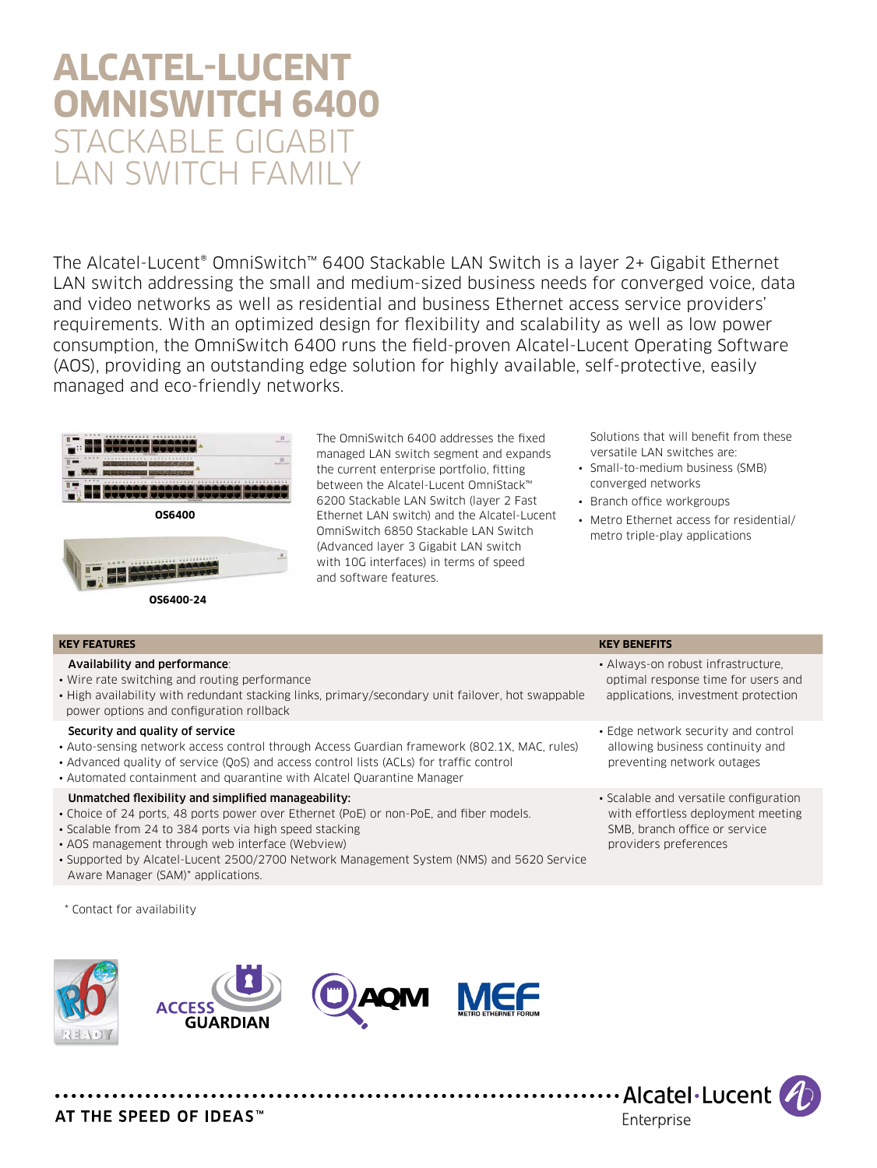# **Alcatel-Lucent OmniSwitch 6400** STACKABLE GIGAB LAN SWITCH FAMIL

The Alcatel-Lucent® OmniSwitch™ 6400 Stackable LAN Switch is a layer 2+ Gigabit Ethernet LAN switch addressing the small and medium-sized business needs for converged voice, data and video networks as well as residential and business Ethernet access service providers' requirements. With an optimized design for flexibility and scalability as well as low power consumption, the OmniSwitch 6400 runs the field-proven Alcatel-Lucent Operating Software (AOS), providing an outstanding edge solution for highly available, self-protective, easily managed and eco-friendly networks.



 **OS6400-24**

The OmniSwitch 6400 addresses the fixed managed LAN switch segment and expands the current enterprise portfolio, fitting between the Alcatel-Lucent OmniStack™ 6200 Stackable LAN Switch (layer 2 Fast Ethernet LAN switch) and the Alcatel-Lucent OmniSwitch 6850 Stackable LAN Switch (Advanced layer 3 Gigabit LAN switch with 10G interfaces) in terms of speed and software features.

Solutions that will benefit from these versatile LAN switches are:

- Small-to-medium business (SMB) converged networks
- Branch office workgroups
- Metro Ethernet access for residential/ metro triple-play applications

| <b>KEY FEATURES</b>                                                                                                                                                                                                                                                                                                                                      | <b>KEY BENEFITS</b>                                                                                                                    |
|----------------------------------------------------------------------------------------------------------------------------------------------------------------------------------------------------------------------------------------------------------------------------------------------------------------------------------------------------------|----------------------------------------------------------------------------------------------------------------------------------------|
| Availability and performance:<br>• Wire rate switching and routing performance<br>• High availability with redundant stacking links, primary/secondary unit failover, hot swappable<br>power options and configuration rollback                                                                                                                          | • Always-on robust infrastructure.<br>optimal response time for users and<br>applications, investment protection                       |
| Security and quality of service<br>• Auto-sensing network access control through Access Guardian framework (802.1X, MAC, rules)<br>• Advanced quality of service (OoS) and access control lists (ACLs) for traffic control<br>• Automated containment and quarantine with Alcatel Quarantine Manager                                                     | • Edge network security and control<br>allowing business continuity and<br>preventing network outages                                  |
| Unmatched flexibility and simplified manageability:<br>• Choice of 24 ports, 48 ports power over Ethernet (PoE) or non-PoE, and fiber models.<br>• Scalable from 24 to 384 ports via high speed stacking<br>• AOS management through web interface (Webview)<br>• Supported by Alcatel-Lucent 2500/2700 Network Management System (NMS) and 5620 Service | • Scalable and versatile configuration<br>with effortless deployment meeting<br>SMB, branch office or service<br>providers preferences |

\* Contact for availability

Aware Manager (SAM)\* applications.



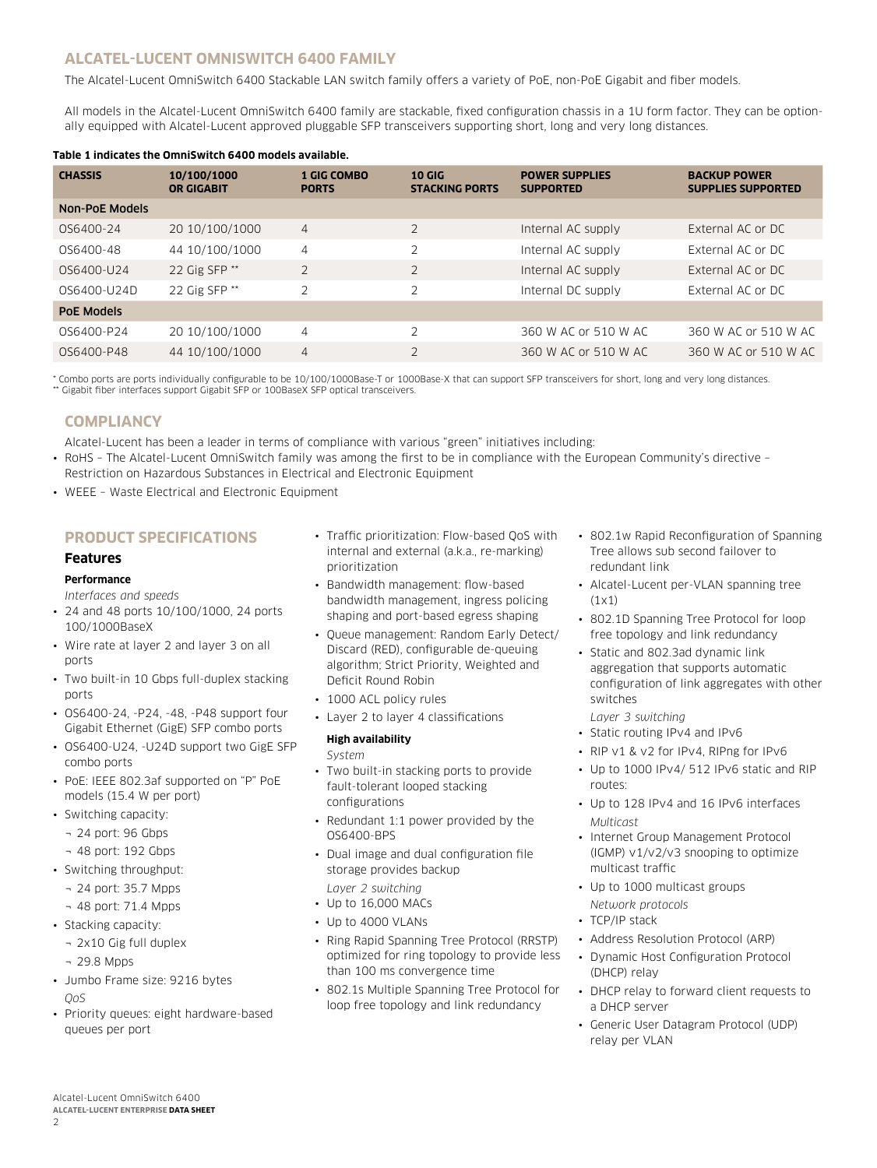## **Alcatel-Lucent OmniSwitch 6400 family**

The Alcatel-Lucent OmniSwitch 6400 Stackable LAN switch family offers a variety of PoE, non-PoE Gigabit and fiber models.

All models in the Alcatel-Lucent OmniSwitch 6400 family are stackable, fixed configuration chassis in a 1U form factor. They can be optionally equipped with Alcatel-Lucent approved pluggable SFP transceivers supporting short, long and very long distances.

#### **Table 1 indicates the OmniSwitch 6400 models available.**

| <b>CHASSIS</b>        | 10/100/1000<br><b>OR GIGABIT</b> | <b>1 GIG COMBO</b><br><b>PORTS</b> | <b>10 GIG</b><br><b>STACKING PORTS</b> | <b>POWER SUPPLIES</b><br><b>SUPPORTED</b> | <b>BACKUP POWER</b><br><b>SUPPLIES SUPPORTED</b> |
|-----------------------|----------------------------------|------------------------------------|----------------------------------------|-------------------------------------------|--------------------------------------------------|
| <b>Non-PoE Models</b> |                                  |                                    |                                        |                                           |                                                  |
| OS6400-24             | 20 10/100/1000                   | $\overline{4}$                     | 2                                      | Internal AC supply                        | External AC or DC                                |
| 0S6400-48             | 44 10/100/1000                   | $\overline{4}$                     | ∍                                      | Internal AC supply                        | External AC or DC                                |
| 0S6400-U24            | 22 Gig SFP <sup>**</sup>         | 2                                  | $\overline{2}$                         | Internal AC supply                        | External AC or DC                                |
| 0S6400-U24D           | 22 Gig SFP <sup>**</sup>         | $\overline{2}$                     | フ                                      | Internal DC supply                        | External AC or DC                                |
| PoE Models            |                                  |                                    |                                        |                                           |                                                  |
| 0S6400-P24            | 20 10/100/1000                   | 4                                  | っ                                      | 360 W AC or 510 W AC                      | 360 W AC or 510 W AC                             |
| 0S6400-P48            | 44 10/100/1000                   | 4                                  | $\overline{2}$                         | 360 W AC or 510 W AC                      | 360 W AC or 510 W AC                             |

\* Combo ports are ports individually configurable to be 10/100/1000Base-T or 1000Base-X that can support SFP transceivers for short, long and very long distances. \*\* Gigabit fiber interfaces support Gigabit SFP or 100BaseX SFP optical transceivers.

## **Compliancy**

Alcatel-Lucent has been a leader in terms of compliance with various "green" initiatives including:

• RoHS – The Alcatel-Lucent OmniSwitch family was among the first to be in compliance with the European Community's directive – Restriction on Hazardous Substances in Electrical and Electronic Equipment

• WEEE - Waste Electrical and Electronic Equipment

## **Product specifications**

#### **Features**

**Performance**

*Interfaces and speeds*

- 24 and 48 ports 10/100/1000, 24 ports 100/1000BaseX
- Wire rate at layer 2 and layer 3 on all ports
- Two built-in 10 Gbps full-duplex stacking ports
- OS6400-24, -P24, -48, -P48 support four Gigabit Ethernet (GigE) SFP combo ports
- OS6400-U24, -U24D support two GigE SFP combo ports
- PoE: IEEE 802.3af supported on "P" PoE models (15.4 W per port)
- Switching capacity:
	- ¬ 24 port: 96 Gbps
	- ¬ 48 port: 192 Gbps
- Switching throughput:
	- ¬ 24 port: 35.7 Mpps
	- ¬ 48 port: 71.4 Mpps
- Stacking capacity:
- ¬ 2x10 Gig full duplex
- ¬ 29.8 Mpps
- Jumbo Frame size: 9216 bytes *QoS*
- Priority queues: eight hardware-based queues per port
- Traffic prioritization: Flow-based QoS with internal and external (a.k.a., re-marking) prioritization
- Bandwidth management: flow-based bandwidth management, ingress policing shaping and port-based egress shaping
- Queue management: Random Early Detect/ Discard (RED), configurable de-queuing algorithm; Strict Priority, Weighted and Deficit Round Robin
- 1000 ACL policy rules
- Layer 2 to layer 4 classifications

#### **High availability**

*System*

- Two built-in stacking ports to provide fault-tolerant looped stacking configurations
- Redundant 1:1 power provided by the OS6400-BPS
- Dual image and dual configuration file storage provides backup

*Layer 2 switching* 

- Up to 16,000 MACs
- Up to 4000 VLANs
- Ring Rapid Spanning Tree Protocol (RRSTP) optimized for ring topology to provide less than 100 ms convergence time
- 802.1s Multiple Spanning Tree Protocol for loop free topology and link redundancy
- 802.1w Rapid Reconfiguration of Spanning Tree allows sub second failover to redundant link
- Alcatel-Lucent per-VLAN spanning tree (1x1)
- 802.1D Spanning Tree Protocol for loop free topology and link redundancy
- Static and 802.3ad dynamic link aggregation that supports automatic configuration of link aggregates with other switches

*Layer 3 switching* 

- Static routing IPv4 and IPv6
- RIP v1 & v2 for IPv4, RIPng for IPv6
- Up to 1000 IPv4/ 512 IPv6 static and RIP routes:
- Up to 128 IPv4 and 16 IPv6 interfaces *Multicast*
- Internet Group Management Protocol (IGMP) v1/v2/v3 snooping to optimize multicast traffic
- Up to 1000 multicast groups
- *Network protocols*
- TCP/IP stack
- Address Resolution Protocol (ARP)
- Dynamic Host Configuration Protocol (DHCP) relay
- DHCP relay to forward client requests to a DHCP server
- Generic User Datagram Protocol (UDP) relay per VLAN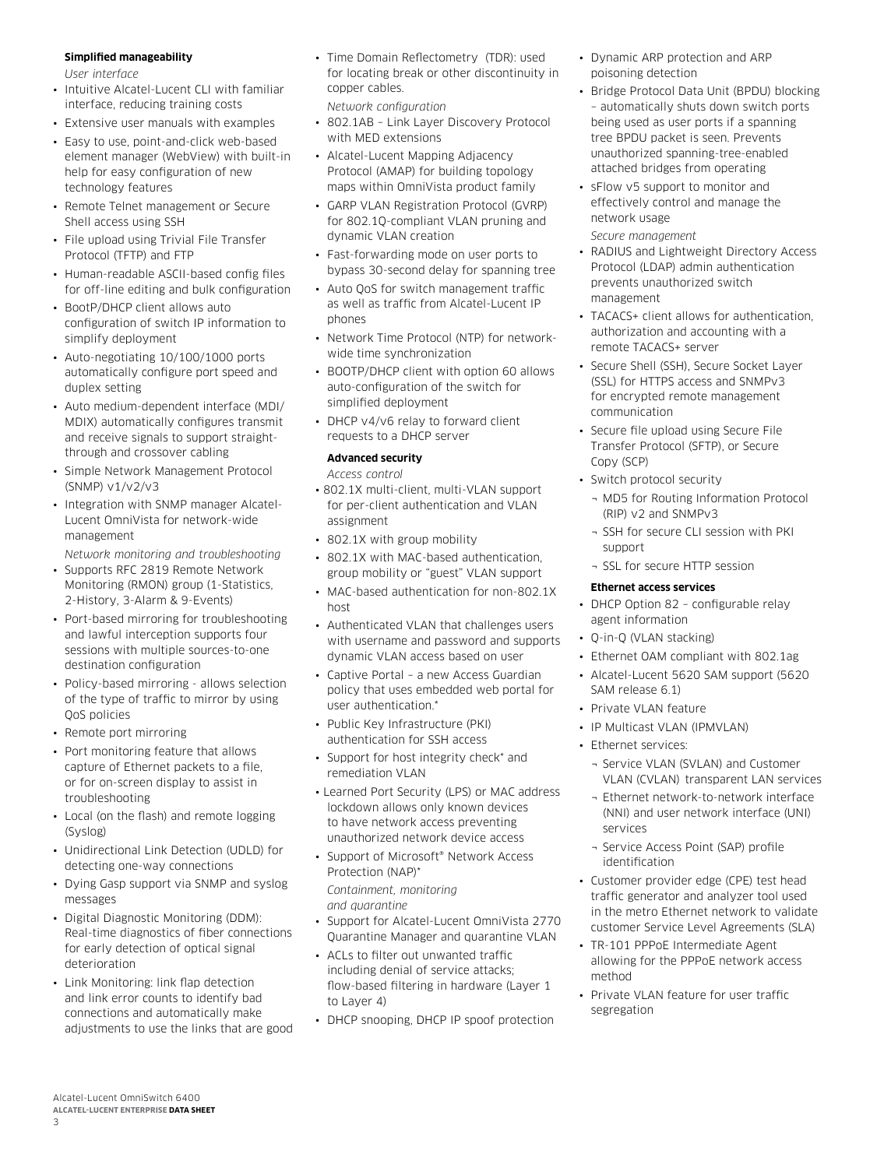#### **Simplified manageability**

*User interface*

- Intuitive Alcatel-Lucent CLI with familiar interface, reducing training costs
- Extensive user manuals with examples
- Easy to use, point-and-click web-based element manager (WebView) with built-in help for easy configuration of new technology features
- Remote Telnet management or Secure Shell access using SSH
- File upload using Trivial File Transfer Protocol (TFTP) and FTP
- Human-readable ASCII-based config files for off-line editing and bulk configuration
- BootP/DHCP client allows auto configuration of switch IP information to simplify deployment
- Auto-negotiating 10/100/1000 ports automatically configure port speed and duplex setting
- Auto medium-dependent interface (MDI/ MDIX) automatically configures transmit and receive signals to support straightthrough and crossover cabling
- Simple Network Management Protocol (SNMP) v1/v2/v3
- Integration with SNMP manager Alcatel-Lucent OmniVista for network-wide management

*Network monitoring and troubleshooting* 

- Supports RFC 2819 Remote Network Monitoring (RMON) group (1-Statistics, 2-History, 3-Alarm & 9-Events)
- Port-based mirroring for troubleshooting and lawful interception supports four sessions with multiple sources-to-one destination configuration
- Policy-based mirroring allows selection of the type of traffic to mirror by using QoS policies
- Remote port mirroring
- Port monitoring feature that allows capture of Ethernet packets to a file, or for on-screen display to assist in troubleshooting
- Local (on the flash) and remote logging (Syslog)
- Unidirectional Link Detection (UDLD) for detecting one-way connections
- Dying Gasp support via SNMP and syslog messages
- Digital Diagnostic Monitoring (DDM): Real-time diagnostics of fiber connections for early detection of optical signal deterioration
- Link Monitoring: link flap detection and link error counts to identify bad connections and automatically make adjustments to use the links that are good

• Time Domain Reflectometry (TDR): used for locating break or other discontinuity in copper cables.

*Network configuration*

- 802.1AB Link Layer Discovery Protocol with MED extensions
- Alcatel-Lucent Mapping Adjacency Protocol (AMAP) for building topology maps within OmniVista product family
- GARP VLAN Registration Protocol (GVRP) for 802.1Q-compliant VLAN pruning and dynamic VLAN creation
- Fast-forwarding mode on user ports to bypass 30-second delay for spanning tree
- Auto QoS for switch management traffic as well as traffic from Alcatel-Lucent IP phones
- Network Time Protocol (NTP) for networkwide time synchronization
- BOOTP/DHCP client with option 60 allows auto-configuration of the switch for simplified deployment
- DHCP v4/v6 relay to forward client requests to a DHCP server

## **Advanced security**

*Access control*

- 802.1X multi-client, multi-VLAN support for per-client authentication and VLAN assignment
- 802.1X with group mobility
- 802.1X with MAC-based authentication, group mobility or "guest" VLAN support
- MAC-based authentication for non-802.1X host
- Authenticated VLAN that challenges users with username and password and supports dynamic VLAN access based on user
- Captive Portal a new Access Guardian policy that uses embedded web portal for user authentication.\*
- Public Key Infrastructure (PKI) authentication for SSH access
- Support for host integrity check\* and remediation VLAN
- Learned Port Security (LPS) or MAC address lockdown allows only known devices to have network access preventing unauthorized network device access
- Support of Microsoft® Network Access Protection (NAP)\*

*Containment, monitoring and quarantine* 

- Support for Alcatel-Lucent OmniVista 2770 Quarantine Manager and quarantine VLAN
- ACLs to filter out unwanted traffic including denial of service attacks; flow-based filtering in hardware (Layer 1 to Layer 4)
- DHCP snooping, DHCP IP spoof protection
- Dynamic ARP protection and ARP poisoning detection
- Bridge Protocol Data Unit (BPDU) blocking – automatically shuts down switch ports being used as user ports if a spanning tree BPDU packet is seen. Prevents unauthorized spanning-tree-enabled attached bridges from operating
- sFlow y5 support to monitor and effectively control and manage the network usage

*Secure management* 

- RADIUS and Lightweight Directory Access Protocol (LDAP) admin authentication prevents unauthorized switch management
- TACACS+ client allows for authentication, authorization and accounting with a remote TACACS+ server
- Secure Shell (SSH), Secure Socket Layer (SSL) for HTTPS access and SNMPv3 for encrypted remote management communication
- Secure file upload using Secure File Transfer Protocol (SFTP), or Secure Copy (SCP)
- Switch protocol security
	- ¬ MD5 for Routing Information Protocol (RIP) v2 and SNMPv3
- ¬ SSH for secure CLI session with PKI support
- ¬ SSL for secure HTTP session

## **Ethernet access services**

- DHCP Option 82 configurable relay agent information
- Q-in-Q (VLAN stacking)
- Ethernet OAM compliant with 802.1ag
- Alcatel-Lucent 5620 SAM support (5620 SAM release 6.1)
- Private VLAN feature
- IP Multicast VLAN (IPMVLAN)
- Ethernet services:
	- ¬ Service VLAN (SVLAN) and Customer VLAN (CVLAN) transparent LAN services
	- ¬ Ethernet network-to-network interface (NNI) and user network interface (UNI) services
	- ¬ Service Access Point (SAP) profile identification
- Customer provider edge (CPE) test head traffic generator and analyzer tool used in the metro Ethernet network to validate customer Service Level Agreements (SLA)
- TR-101 PPPoE Intermediate Agent allowing for the PPPoE network access method
- Private VLAN feature for user traffic segregation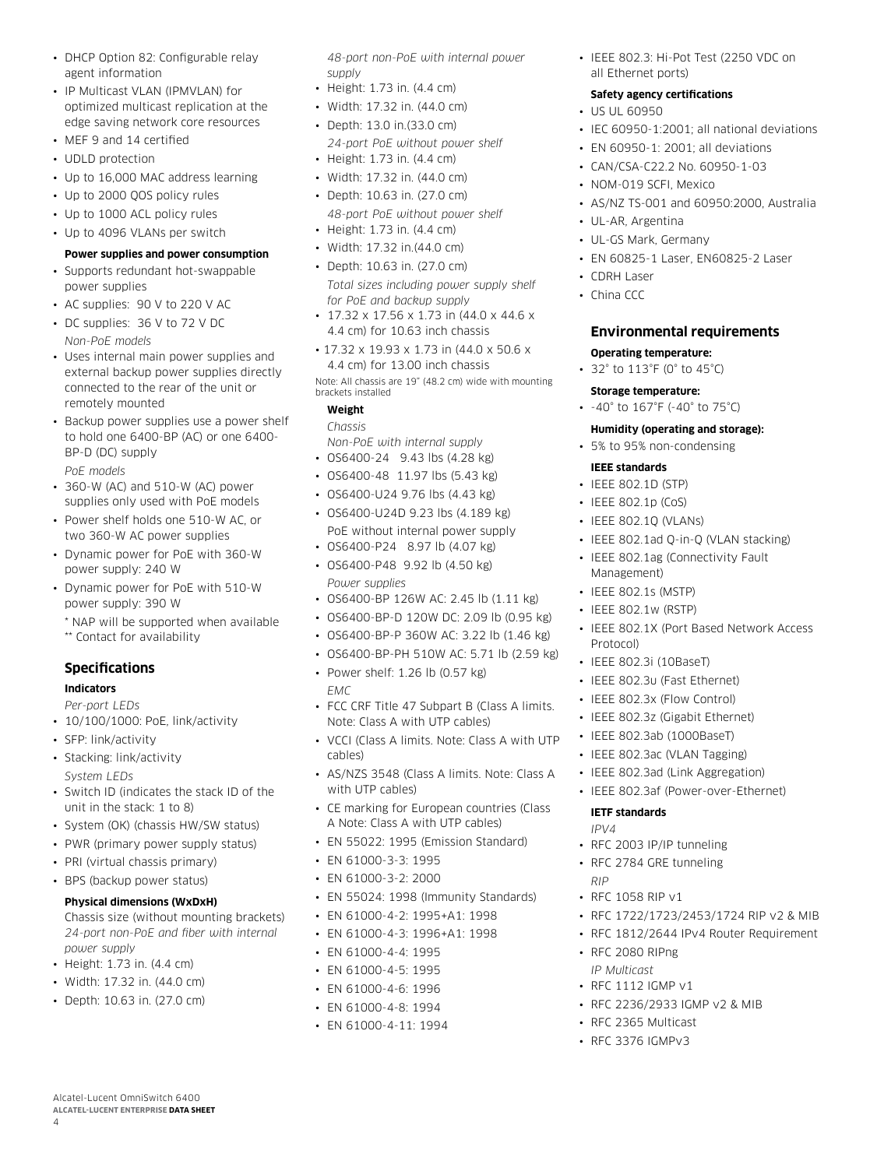- DHCP Option 82: Configurable relay agent information
- IP Multicast VLAN (IPMVLAN) for optimized multicast replication at the edge saving network core resources
- MEF 9 and 14 certified
- UDLD protection
- Up to 16,000 MAC address learning
- Up to 2000 QOS policy rules
- Up to 1000 ACL policy rules
- Up to 4096 VLANs per switch

#### **Power supplies and power consumption**

- Supports redundant hot-swappable power supplies
- AC supplies: 90 V to 220 V AC
- DC supplies: 36 V to 72 V DC *Non-PoE models*
- Uses internal main power supplies and external backup power supplies directly connected to the rear of the unit or remotely mounted
- Backup power supplies use a power shelf to hold one 6400-BP (AC) or one 6400- BP-D (DC) supply

*PoE models*

- 360-W (AC) and 510-W (AC) power supplies only used with PoE models
- Power shelf holds one 510-W AC, or two 360-W AC power supplies
- Dynamic power for PoE with 360-W power supply: 240 W
- Dynamic power for PoE with 510-W power supply: 390 W
	- \* NAP will be supported when available
	- \*\* Contact for availability

## **Specifications**

#### **Indicators**

- *Per-port LEDs*
- 10/100/1000: PoE, link/activity
- SFP: link/activity
- Stacking: link/activity
- *System LEDs*
- Switch ID (indicates the stack ID of the unit in the stack: 1 to 8)
- System (OK) (chassis HW/SW status)
- PWR (primary power supply status)
- PRI (virtual chassis primary)
- BPS (backup power status)

#### **Physical dimensions (WxDxH)**

Chassis size (without mounting brackets) *24-port non-PoE and fiber with internal power supply*

- Height: 1.73 in. (4.4 cm)
- Width: 17.32 in. (44.0 cm)
- Depth: 10.63 in. (27.0 cm)

Alcatel-Lucent OmniSwitch 6400 **Alcatel-Lucent Enterprise Data sheet**

4

*48-port non-PoE with internal power supply*

- Height: 1.73 in. (4.4 cm)
- Width: 17.32 in. (44.0 cm)
- Depth: 13.0 in.(33.0 cm)
- *24-port PoE without power shelf* • Height: 1.73 in. (4.4 cm)
- Width: 17.32 in. (44.0 cm)
- Depth: 10.63 in. (27.0 cm)
- *48-port PoE without power shelf* • Height: 1.73 in. (4.4 cm)
- Width: 17.32 in.(44.0 cm)
- Depth: 10.63 in. (27.0 cm)
- *Total sizes including power supply shelf for PoE and backup supply*
- $\cdot$  17.32 x 17.56 x 1.73 in (44.0 x 44.6 x 4.4 cm) for 10.63 inch chassis
- 17.32 x 19.93 x 1.73 in (44.0 x 50.6 x 4.4 cm) for 13.00 inch chassis

Note: All chassis are 19" (48.2 cm) wide with mounting brackets installed

## **Weight**

*Chassis Non-PoE with internal supply*  • OS6400-24 9.43 lbs (4.28 kg)

- OS6400-48 11.97 lbs (5.43 kg)
- OS6400-U24 9.76 lbs (4.43 kg)
- OS6400-U24D 9.23 lbs (4.189 kg) PoE without internal power supply
- OS6400-P24 8.97 lb (4.07 kg)
- OS6400-P48 9.92 lb (4.50 kg) *Power supplies*
- OS6400-BP 126W AC: 2.45 lb (1.11 kg)
- OS6400-BP-D 120W DC: 2.09 lb (0.95 kg)
- OS6400-BP-P 360W AC: 3.22 lb (1.46 kg)
- OS6400-BP-PH 510W AC: 5.71 lb (2.59 kg)
- Power shelf: 1.26 lb (0.57 kg)
- *EMC*
- FCC CRF Title 47 Subpart B (Class A limits. Note: Class A with UTP cables)
- VCCI (Class A limits. Note: Class A with UTP cables)
- AS/NZS 3548 (Class A limits. Note: Class A with UTP cables)
- CE marking for European countries (Class A Note: Class A with UTP cables)
- EN 55022: 1995 (Emission Standard)
- EN 61000-3-3: 1995
- EN 61000-3-2: 2000
- EN 55024: 1998 (Immunity Standards)
- EN 61000-4-2: 1995+A1: 1998
- EN 61000-4-3: 1996+A1: 1998
- EN 61000-4-4: 1995
- EN 61000-4-5: 1995
- EN 61000-4-6: 1996
- EN 61000-4-8: 1994
- EN 61000-4-11: 1994

• IEEE 802.3: Hi-Pot Test (2250 VDC on all Ethernet ports)

## **Safety agency certifications**

- US UL 60950
- IEC 60950-1:2001; all national deviations
- EN 60950-1: 2001; all deviations
- CAN/CSA-C22.2 No. 60950-1-03
- NOM-019 SCFI, Mexico
- AS/NZ TS-001 and 60950:2000, Australia
- UL-AR, Argentina
- UL-GS Mark, Germany
- EN 60825-1 Laser, EN60825-2 Laser
- CDRH Laser
- China CCC

## **Environmental requirements**

#### **Operating temperature:**

- 32° to 113°F (0° to 45°C)
- **Storage temperature:**

**IEEE standards** • IEEE 802.1D (STP) • IEEE 802.1p (CoS) • IEEE 802.1Q (VLANs)

Management) • IEEE 802.1s (MSTP) • IEEE 802.1w (RSTP)

Protocol)

• IEEE 802.3i (10BaseT) • IEEE 802.3u (Fast Ethernet) • IEEE 802.3x (Flow Control) • IEEE 802.3z (Gigabit Ethernet) • IEEE 802.3ab (1000BaseT) • IEEE 802.3ac (VLAN Tagging) • IEEE 802.3ad (Link Aggregation) • IEEE 802.3af (Power-over-Ethernet)

**IETF standards**

• RFC 1058 RIP v1

• RFC 2080 RIPng *IP Multicast*  • RFC 1112 IGMP v1

• RFC 2365 Multicast • RFC 3376 IGMPv3

• RFC 2003 IP/IP tunneling • RFC 2784 GRE tunneling

• RFC 1722/1723/2453/1724 RIP v2 & MIB • RFC 1812/2644 IPv4 Router Requirement

• RFC 2236/2933 IGMP v2 & MIB

*IPV4* 

*RIP* 

• -40° to 167°F (-40° to 75°C)

## **Humidity (operating and storage):**

• IEEE 802.1ad Q-in-Q (VLAN stacking) • IEEE 802.1ag (Connectivity Fault

• IEEE 802.1X (Port Based Network Access

• 5% to 95% non-condensing